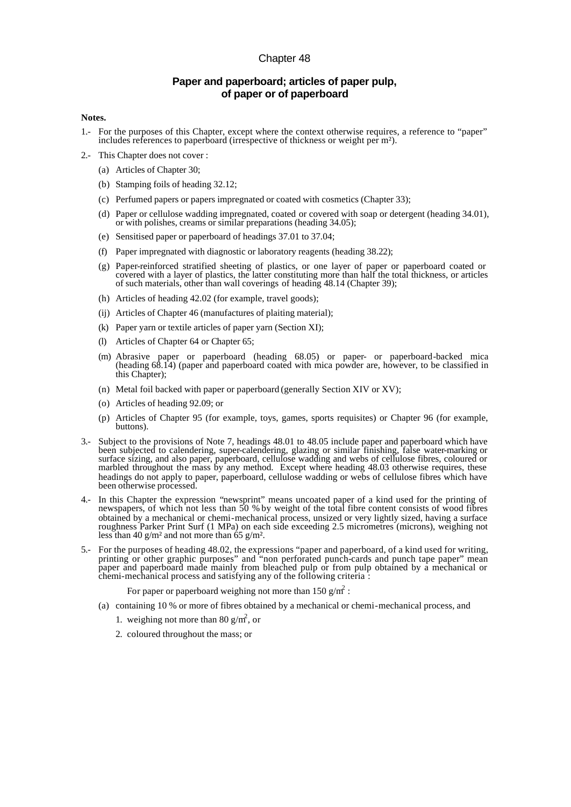## Chapter 48

## **Paper and paperboard; articles of paper pulp, of paper or of paperboard**

## **Notes.**

- 1.- For the purposes of this Chapter, except where the context otherwise requires, a reference to "paper" includes references to paperboard (irrespective of thickness or weight per m²).
- 2.- This Chapter does not cover :
	- (a) Articles of Chapter 30;
	- (b) Stamping foils of heading 32.12;
	- (c) Perfumed papers or papers impregnated or coated with cosmetics (Chapter 33);
	- (d) Paper or cellulose wadding impregnated, coated or covered with soap or detergent (heading 34.01), or with polishes, creams or similar preparations (heading 34.05);
	- (e) Sensitised paper or paperboard of headings 37.01 to 37.04;
	- (f) Paper impregnated with diagnostic or laboratory reagents (heading 38.22);
	- (g) Paper-reinforced stratified sheeting of plastics, or one layer of paper or paperboard coated or covered with a layer of plastics, the latter constituting more than half the total thickness, or articles of such materials, other than wall coverings of heading 48.14 (Chapter 39);
	- (h) Articles of heading 42.02 (for example, travel goods);
	- (ij) Articles of Chapter 46 (manufactures of plaiting material);
	- (k) Paper yarn or textile articles of paper yarn (Section XI);
	- (l) Articles of Chapter 64 or Chapter 65;
	- (m) Abrasive paper or paperboard (heading 68.05) or paper- or paperboard-backed mica (heading 68.14) (paper and paperboard coated with mica powder are, however, to be classified in this Chapter);
	- (n) Metal foil backed with paper or paperboard (generally Section XIV or XV);
	- (o) Articles of heading 92.09; or
	- (p) Articles of Chapter 95 (for example, toys, games, sports requisites) or Chapter 96 (for example, buttons).
- 3.- Subject to the provisions of Note 7, headings 48.01 to 48.05 include paper and paperboard which have been subjected to calendering, super-calendering, glazing or similar finishing, false water-marking or surface sizing, and also paper, paperboard, cellulose wadding and webs of cellulose fibres, coloured or marbled throughout the mass by any method. Except where heading 48.03 otherwise requires, these headings do not apply to paper, paperboard, cellulose wadding or webs of cellulose fibres which have been otherwise processed.
- 4.- In this Chapter the expression "newsprint" means uncoated paper of a kind used for the printing of newspapers, of which not less than 50 % by weight of the total fibre content consists of wood fibres obtained by a mechanical or chemi-mechanical process, unsized or very lightly sized, having a surface roughness Parker Print Surf (1 MPa) on each side exceeding 2.5 micrometres (microns), weighing not less than 40 g/m<sup>2</sup> and not more than 65 g/m<sup>2</sup>.
- 5.- For the purposes of heading 48.02, the expressions "paper and paperboard, of a kind used for writing, printing or other graphic purposes" and "non perforated punch-cards and punch tape paper" mean paper and paperboard made mainly from bleached pulp or from pulp obtained by a mechanical or chemi-mechanical process and satisfying any of the following criteria :
	- For paper or paperboard weighing not more than 150 g/m<sup>2</sup>:
	- (a) containing 10 % or more of fibres obtained by a mechanical or chemi-mechanical process, and
		- 1. weighing not more than 80  $g/m^2$ , or
		- 2. coloured throughout the mass; or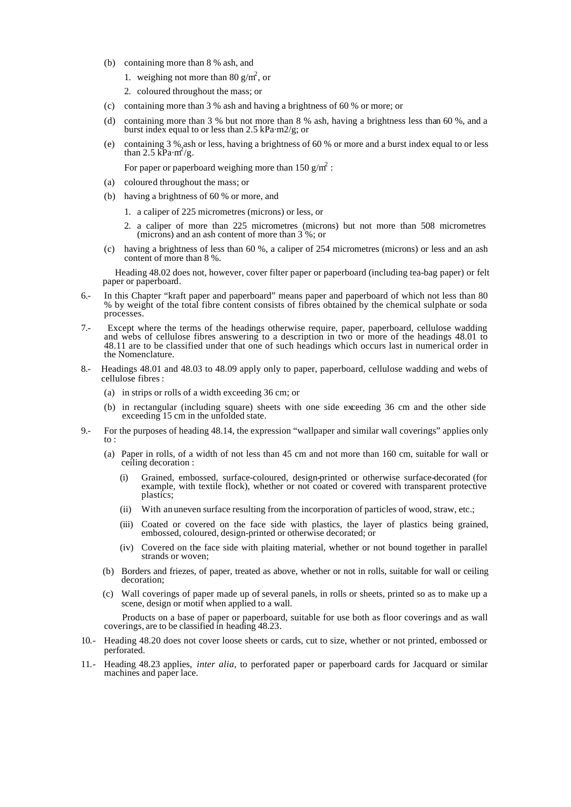- (b) containing more than 8 % ash, and
	- 1. weighing not more than 80  $g/m^2$ , or
	- 2. coloured throughout the mass; or
- (c) containing more than 3 % ash and having a brightness of 60 % or more; or
- (d) containing more than 3 % but not more than 8 % ash, having a brightness less than 60 %, and a burst index equal to or less than 2.5 kPa·m2/g; or
- (e) containing 3 % ash or less, having a brightness of 60 % or more and a burst index equal to or less than  $2.5 \text{ kPa} \cdot \text{m}^2/\text{g}$ .
	- For paper or paperboard weighing more than 150 g/m<sup>2</sup> :
- (a) coloured throughout the mass; or
- (b) having a brightness of 60 % or more, and
	- 1. a caliper of 225 micrometres (microns) or less, or
	- 2. a caliper of more than 225 micrometres (microns) but not more than 508 micrometres (microns) and an ash content of more than  $3\%$ ; or
- (c) having a brightness of less than 60 %, a caliper of 254 micrometres (microns) or less and an ash content of more than 8 %.

Heading 48.02 does not, however, cover filter paper or paperboard (including tea-bag paper) or felt paper or paperboard.

- 6.- In this Chapter "kraft paper and paperboard" means paper and paperboard of which not less than 80 % by weight of the total fibre content consists of fibres obtained by the chemical sulphate or soda processes.
- 7.- Except where the terms of the headings otherwise require, paper, paperboard, cellulose wadding and webs of cellulose fibres answering to a description in two or more of the headings 48.01 to 48.11 are to be classified under that one of such headings which occurs last in numerical order in the Nomenclature.
- 8.- Headings 48.01 and 48.03 to 48.09 apply only to paper, paperboard, cellulose wadding and webs of cellulose fibres :
	- (a) in strips or rolls of a width exceeding 36 cm; or
	- (b) in rectangular (including square) sheets with one side exceeding 36 cm and the other side exceeding 15 cm in the unfolded state.
- 9.- For the purposes of heading 48.14, the expression "wallpaper and similar wall coverings" applies only  $\mathsf{to}$ :
	- (a) Paper in rolls, of a width of not less than 45 cm and not more than 160 cm, suitable for wall or ceiling decoration :
		- (i) Grained, embossed, surface-coloured, design-printed or otherwise surface-decorated (for example, with textile flock), whether or not coated or covered with transparent protective plastics;
		- (ii) With an uneven surface resulting from the incorporation of particles of wood, straw, etc.;
		- (iii) Coated or covered on the face side with plastics, the layer of plastics being grained, embossed, coloured, design-printed or otherwise decorated; or
		- (iv) Covered on the face side with plaiting material, whether or not bound together in parallel strands or woven;
	- (b) Borders and friezes, of paper, treated as above, whether or not in rolls, suitable for wall or ceiling decoration;
	- (c) Wall coverings of paper made up of several panels, in rolls or sheets, printed so as to make up a scene, design or motif when applied to a wall.

Products on a base of paper or paperboard, suitable for use both as floor coverings and as wall coverings, are to be classified in heading 48.23.

- 10.- Heading 48.20 does not cover loose sheets or cards, cut to size, whether or not printed, embossed or perforated.
- 11.- Heading 48.23 applies, *inter alia*, to perforated paper or paperboard cards for Jacquard or similar machines and paper lace.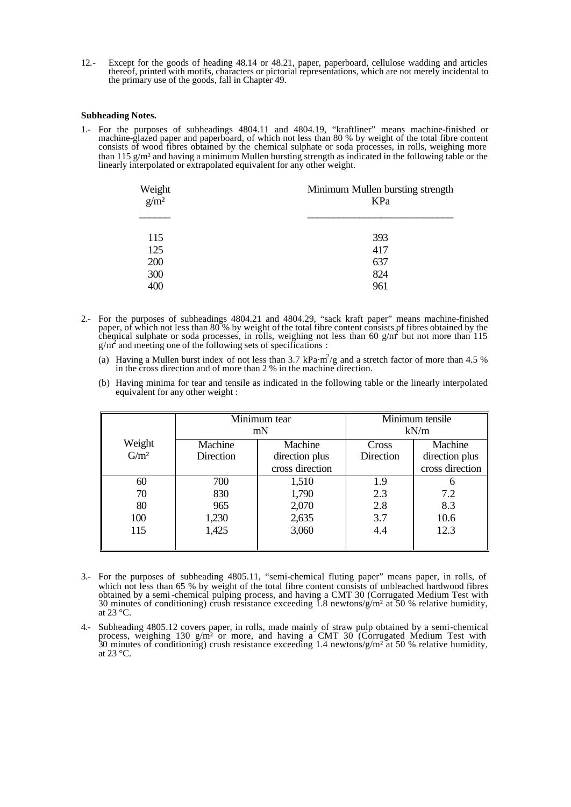12.- Except for the goods of heading 48.14 or 48.21, paper, paperboard, cellulose wadding and articles thereof, printed with motifs, characters or pictorial representations, which are not merely incidental to the primary use of the goods, fall in Chapter 49.

## **Subheading Notes.**

1.- For the purposes of subheadings 4804.11 and 4804.19, "kraftliner" means machine-finished or machine-glazed paper and paperboard, of which not less than 80 % by weight of the total fibre content consists of wood fibres obtained by the chemical sulphate or soda processes, in rolls, weighing more than 115 g/m² and having a minimum Mullen bursting strength as indicated in the following table or the linearly interpolated or extrapolated equivalent for any other weight.

| Weight $g/m^2$ | Minimum Mullen bursting strength<br>KPa |  |
|----------------|-----------------------------------------|--|
| 115            | 393                                     |  |
| 125<br>200     | 417<br>637                              |  |
| 300<br>400     | 824<br>961                              |  |
|                |                                         |  |

- 2.- For the purposes of subheadings 4804.21 and 4804.29, "sack kraft paper" means machine-finished paper, of which not less than 80 % by weight of the total fibre content consists of fibres obtained by the chemical sulphate or soda processes, in rolls, weighing not less than  $60 \text{ g/m}^2$  but not more than 115  $g/m<sup>2</sup>$  and meeting one of the following sets of specifications :
	- (a) Having a Mullen burst index of not less than 3.7 kPa·m<sup>2</sup>/g and a stretch factor of more than 4.5 % in the cross direction and of more than 2 % in the machine direction.
	- (b) Having minima for tear and tensile as indicated in the following table or the linearly interpolated equivalent for any other weight :

|                   | Minimum tear<br>mN |                                   | Minimum tensile<br>kN/m |                                   |
|-------------------|--------------------|-----------------------------------|-------------------------|-----------------------------------|
| Weight<br>$G/m^2$ | Machine            | Machine                           | Cross                   | Machine                           |
|                   | Direction          | direction plus<br>cross direction | Direction               | direction plus<br>cross direction |
| 60                | 700                | 1,510                             | 1.9                     |                                   |
| 70                | 830                | 1,790                             | 2.3                     | 7.2                               |
| 80                | 965                | 2,070                             | 2.8                     | 8.3                               |
| 100               | 1,230              | 2,635                             | 3.7                     | 10.6                              |
| 115               | 1,425              | 3,060                             | 4.4                     | 12.3                              |
|                   |                    |                                   |                         |                                   |

- 3.- For the purposes of subheading 4805.11, "semi-chemical fluting paper" means paper, in rolls, of which not less than 65 % by weight of the total fibre content consists of unbleached hardwood fibres obtained by a semi-chemical pulping process, and having a CMT 30 (Corrugated Medium Test with 30 minutes of conditioning) crush resistance exceeding 1.8 newtons/g/m<sup>2</sup> at 50 % relative humidity, at  $23 \text{ °C}$ .
- 4.- Subheading 4805.12 covers paper, in rolls, made mainly of straw pulp obtained by a semi-chemical process, weighing 130 g/m<sup>2</sup> or more, and having a CMT 30 (Corrugated Medium Test with 30 minutes of conditioning) crush resistance exceeding 1.4 newtons/ $g/m^2$  at 50 % relative humidity, at 23 °C.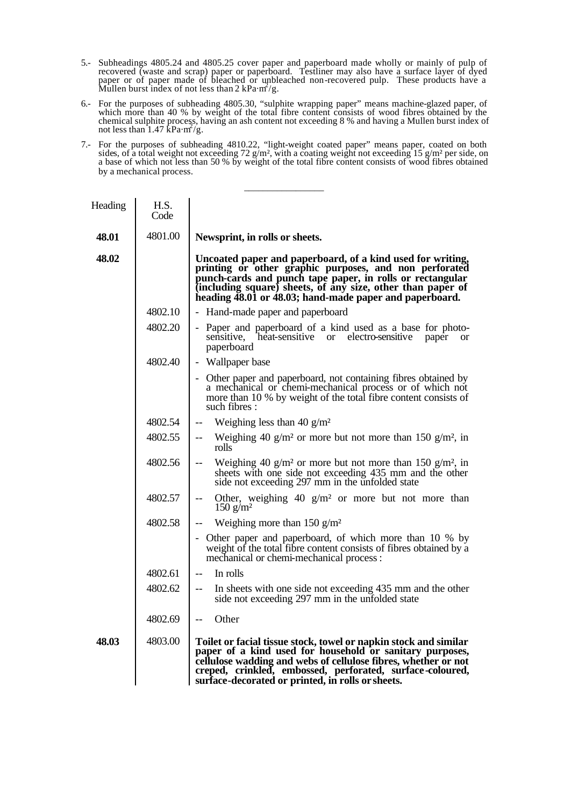- 5.- Subheadings 4805.24 and 4805.25 cover paper and paperboard made wholly or mainly of pulp of recovered (waste and scrap) paper or paperboard. Testliner may also have a surface layer of dyed paper or of paper made of bleached or unbleached non-recovered pulp. These products have a Mullen burst index of not less than 2 kPa·m<sup>2</sup>/g.
- 6.- For the purposes of subheading 4805.30, "sulphite wrapping paper" means machine-glazed paper, of which more than 40 % by weight of the total fibre content consists of wood fibres obtained by the chemical sulphite process, having an ash content not exceeding 8 % and having a Mullen burst index of<br>not less than 1.47 kPa·m /g.
- 7.- For the purposes of subheading 4810.22, "light-weight coated paper" means paper, coated on both sides, of a total weight not exceeding 72 g/m², with a coating weight not exceeding 15 g/m² per side, on a base of which not less than 50 % by weight of the total fibre content consists of wood fibres obtained by a mechanical process.

\_\_\_\_\_\_\_\_\_\_\_\_\_\_\_\_\_

| Heading | H.S.<br>Code |                                                                                                                                                                                                                                                                                                                  |
|---------|--------------|------------------------------------------------------------------------------------------------------------------------------------------------------------------------------------------------------------------------------------------------------------------------------------------------------------------|
| 48.01   | 4801.00      | Newsprint, in rolls or sheets.                                                                                                                                                                                                                                                                                   |
| 48.02   |              | Uncoated paper and paperboard, of a kind used for writing,<br>printing or other graphic purposes, and non perforated<br>punch-cards and punch tape paper, in rolls or rectangular<br>(including square) sheets, of any size, other than paper of<br>heading 48.01 or 48.03; hand-made paper and paperboard.      |
|         | 4802.10      | - Hand-made paper and paperboard                                                                                                                                                                                                                                                                                 |
|         | 4802.20      | - Paper and paperboard of a kind used as a base for photo-<br>sensitive, heat-sensitive or electro-sensitive<br>paper<br><sub>or</sub><br>paperboard                                                                                                                                                             |
|         | 4802.40      | - Wallpaper base                                                                                                                                                                                                                                                                                                 |
|         |              | - Other paper and paperboard, not containing fibres obtained by<br>a mechanical or chemi-mechanical process or of which not<br>more than 10 % by weight of the total fibre content consists of<br>such fibres:                                                                                                   |
|         | 4802.54      | Weighing less than 40 $g/m^2$<br>$\overline{\phantom{a}}$                                                                                                                                                                                                                                                        |
|         | 4802.55      | Weighing 40 g/m <sup>2</sup> or more but not more than 150 g/m <sup>2</sup> , in<br>$-$<br>rolls                                                                                                                                                                                                                 |
|         | 4802.56      | Weighing 40 g/m <sup>2</sup> or more but not more than 150 g/m <sup>2</sup> , in<br>sheets with one side not exceeding 435 mm and the other<br>side not exceeding 297 mm in the unfolded state                                                                                                                   |
|         | 4802.57      | Other, weighing $40 \text{ g/m}^2$ or more but not more than<br>$-\, -$<br>150 g/m <sup>2</sup>                                                                                                                                                                                                                  |
|         | 4802.58      | Weighing more than 150 $g/m^2$<br>$\overline{\phantom{m}}$                                                                                                                                                                                                                                                       |
|         |              | - Other paper and paperboard, of which more than 10 % by<br>weight of the total fibre content consists of fibres obtained by a<br>mechanical or chemi-mechanical process :                                                                                                                                       |
|         | 4802.61      | In rolls<br>$\overline{\phantom{m}}$                                                                                                                                                                                                                                                                             |
|         | 4802.62      | In sheets with one side not exceeding 435 mm and the other<br>$\overline{\phantom{a}}$<br>side not exceeding 297 mm in the unfolded state                                                                                                                                                                        |
|         | 4802.69      | Other<br>$-$                                                                                                                                                                                                                                                                                                     |
| 48.03   | 4803.00      | Toilet or facial tissue stock, towel or napkin stock and similar<br>paper of a kind used for household or sanitary purposes,<br>cellulose wadding and webs of cellulose fibres, whether or not<br>creped, crinkled, embossed, perforated, surface-coloured,<br>surface-decorated or printed, in rolls or sheets. |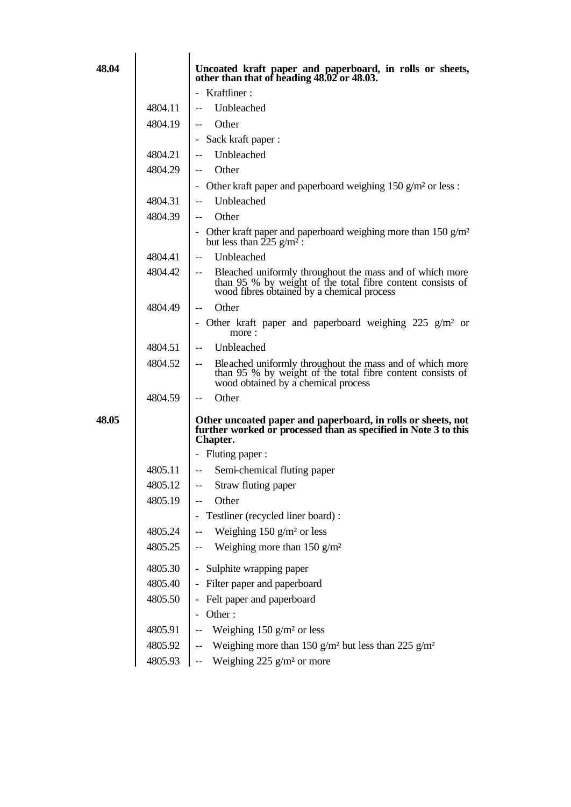| 48.04 |         | Uncoated kraft paper and paperboard, in rolls or sheets,<br>other than that of heading 48.02 or 48.03.                                                                                           |
|-------|---------|--------------------------------------------------------------------------------------------------------------------------------------------------------------------------------------------------|
|       |         | - Kraftliner:                                                                                                                                                                                    |
|       | 4804.11 | Unbleached                                                                                                                                                                                       |
|       | 4804.19 | Other<br>$\overline{\phantom{a}}$                                                                                                                                                                |
|       |         | - Sack kraft paper :                                                                                                                                                                             |
|       | 4804.21 | Unbleached                                                                                                                                                                                       |
|       | 4804.29 | Other<br>$\overline{\phantom{m}}$                                                                                                                                                                |
|       |         | - Other kraft paper and paperboard weighing $150$ g/m <sup>2</sup> or less :                                                                                                                     |
|       | 4804.31 | Unbleached                                                                                                                                                                                       |
|       | 4804.39 | Other<br>$--$                                                                                                                                                                                    |
|       |         | - Other kraft paper and paperboard weighing more than $150 \text{ g/m}^2$<br>but less than $\frac{225 \text{ g/m}^2}{ }$ :                                                                       |
|       | 4804.41 | Unbleached<br>$\overline{\phantom{m}}$                                                                                                                                                           |
|       | 4804.42 | Bleached uniformly throughout the mass and of which more<br>$\overline{\phantom{a}}$<br>than 95 % by weight of the total fibre content consists of<br>wood fibres obtained by a chemical process |
|       | 4804.49 | Other<br>$\overline{\phantom{m}}$                                                                                                                                                                |
|       |         | - Other kraft paper and paperboard weighing 225 $g/m^2$ or<br>more:                                                                                                                              |
|       | 4804.51 | Unbleached<br>$- -$                                                                                                                                                                              |
|       | 4804.52 | Bleached uniformly throughout the mass and of which more<br>than 95 % by weight of the total fibre content consists of<br>wood obtained by a chemical process                                    |
|       | 4804.59 | Other<br>$--$                                                                                                                                                                                    |
| 48.05 |         | Other uncoated paper and paperboard, in rolls or sheets, not<br>further worked or processed than as specified in Note 3 to this<br>Chapter.                                                      |
|       |         | - Fluting paper :                                                                                                                                                                                |
|       | 4805.11 | -- Semi-chemical fluting paper                                                                                                                                                                   |
|       | 4805.12 | Straw fluting paper                                                                                                                                                                              |
|       | 4805.19 | Other                                                                                                                                                                                            |
|       |         | Testliner (recycled liner board) :                                                                                                                                                               |
|       | 4805.24 | Weighing 150 $g/m2$ or less                                                                                                                                                                      |
|       | 4805.25 | Weighing more than $150$ g/m <sup>2</sup><br>$-$                                                                                                                                                 |
|       | 4805.30 | Sulphite wrapping paper                                                                                                                                                                          |
|       | 4805.40 | Filter paper and paperboard                                                                                                                                                                      |
|       | 4805.50 | Felt paper and paperboard                                                                                                                                                                        |
|       |         | Other:                                                                                                                                                                                           |
|       | 4805.91 | Weighing $150$ g/m <sup>2</sup> or less                                                                                                                                                          |
|       | 4805.92 | Weighing more than 150 g/m <sup>2</sup> but less than 225 g/m <sup>2</sup>                                                                                                                       |
|       | 4805.93 | Weighing $225$ g/m <sup>2</sup> or more<br>$-\,-$                                                                                                                                                |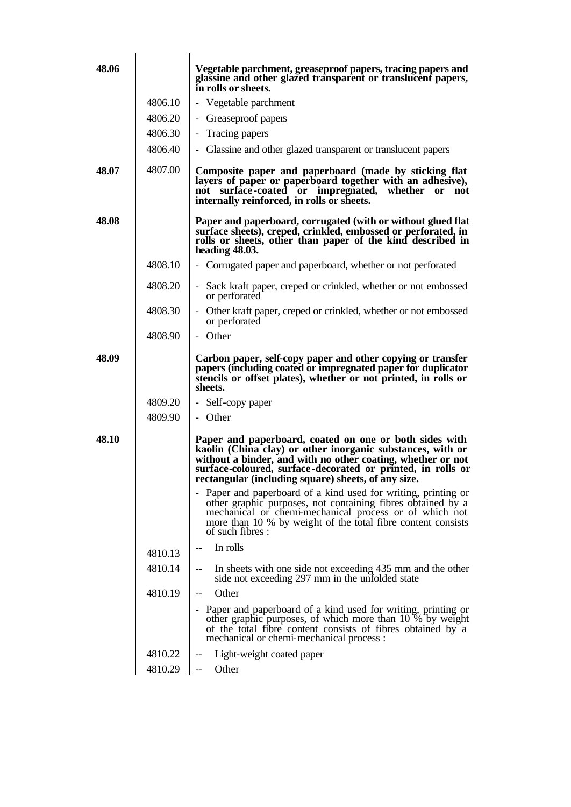| 48.06 |         | Vegetable parchment, greaseproof papers, tracing papers and<br>glassine and other glazed transparent or translucent papers,<br>in rolls or sheets.                                                                                                                                                        |
|-------|---------|-----------------------------------------------------------------------------------------------------------------------------------------------------------------------------------------------------------------------------------------------------------------------------------------------------------|
|       | 4806.10 | - Vegetable parchment                                                                                                                                                                                                                                                                                     |
|       | 4806.20 | - Greaseproof papers                                                                                                                                                                                                                                                                                      |
|       | 4806.30 | Tracing papers<br>$\overline{\phantom{a}}$                                                                                                                                                                                                                                                                |
|       | 4806.40 | Glassine and other glazed transparent or translucent papers                                                                                                                                                                                                                                               |
| 48.07 | 4807.00 | Composite paper and paperboard (made by sticking flat<br>layers of paper or paperboard together with an adhesive),<br>surface-coated or impregnated, whether or<br>not<br>not<br>internally reinforced, in rolls or sheets.                                                                               |
| 48.08 |         | Paper and paperboard, corrugated (with or without glued flat<br>surface sheets), creped, crinkled, embossed or perforated, in<br>rolls or sheets, other than paper of the kind described in<br>heading 48.03.                                                                                             |
|       | 4808.10 | - Corrugated paper and paperboard, whether or not perforated                                                                                                                                                                                                                                              |
|       | 4808.20 | Sack kraft paper, creped or crinkled, whether or not embossed<br>or perforated                                                                                                                                                                                                                            |
|       | 4808.30 | - Other kraft paper, creped or crinkled, whether or not embossed<br>or perforated                                                                                                                                                                                                                         |
|       | 4808.90 | - Other                                                                                                                                                                                                                                                                                                   |
| 48.09 |         | Carbon paper, self-copy paper and other copying or transfer<br>papers (including coated or impregnated paper for duplicator<br>stencils or offset plates), whether or not printed, in rolls or<br>sheets.                                                                                                 |
|       | 4809.20 | - Self-copy paper                                                                                                                                                                                                                                                                                         |
|       | 4809.90 | - Other                                                                                                                                                                                                                                                                                                   |
| 48.10 |         | Paper and paperboard, coated on one or both sides with<br>kaolin (China clay) or other inorganic substances, with or<br>without a binder, and with no other coating, whether or not<br>surface-coloured, surface-decorated or printed, in rolls or<br>rectangular (including square) sheets, of any size. |
|       |         | - Paper and paperboard of a kind used for writing, printing or<br>other graphic purposes, not containing fibres obtained by a<br>mechanical or chemi-mechanical process or of which not<br>more than 10 % by weight of the total fibre content consists<br>of such fibres :                               |
|       | 4810.13 | In rolls                                                                                                                                                                                                                                                                                                  |
|       | 4810.14 | In sheets with one side not exceeding 435 mm and the other<br>--<br>side not exceeding 297 mm in the unfolded state                                                                                                                                                                                       |
|       | 4810.19 | Other<br>$-$                                                                                                                                                                                                                                                                                              |
|       |         | - Paper and paperboard of a kind used for writing, printing or<br>other graphic purposes, of which more than 10 % by weight<br>of the total fibre content consists of fibres obtained by a<br>mechanical or chemi-mechanical process :                                                                    |
|       | 4810.22 | Light-weight coated paper                                                                                                                                                                                                                                                                                 |
|       | 4810.29 | Other                                                                                                                                                                                                                                                                                                     |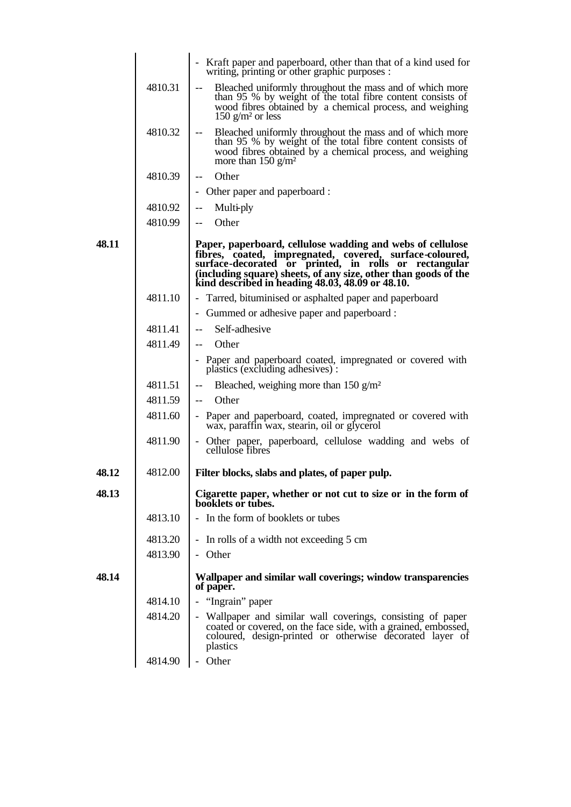|       |         | - Kraft paper and paperboard, other than that of a kind used for<br>writing, printing or other graphic purposes :                                                                                                                                                                                                                                                                                                                                                                                                                                                                                                                                          |
|-------|---------|------------------------------------------------------------------------------------------------------------------------------------------------------------------------------------------------------------------------------------------------------------------------------------------------------------------------------------------------------------------------------------------------------------------------------------------------------------------------------------------------------------------------------------------------------------------------------------------------------------------------------------------------------------|
|       | 4810.31 | Bleached uniformly throughout the mass and of which more<br>$\frac{1}{2} \frac{1}{2} \left( \frac{1}{2} \right) + \frac{1}{2} \left( \frac{1}{2} \right) + \frac{1}{2} \left( \frac{1}{2} \right) + \frac{1}{2} \left( \frac{1}{2} \right) + \frac{1}{2} \left( \frac{1}{2} \right) + \frac{1}{2} \left( \frac{1}{2} \right) + \frac{1}{2} \left( \frac{1}{2} \right) + \frac{1}{2} \left( \frac{1}{2} \right) + \frac{1}{2} \left( \frac{1}{2} \right) + \frac{1}{2} \left( \frac{1}{2} \right) + \frac{$<br>than 95 % by weight of the total fibre content consists of<br>wood fibres obtained by a chemical process, and weighing<br>150 $g/m2$ or less |
|       | 4810.32 | Bleached uniformly throughout the mass and of which more<br>than 95 % by weight of the total fibre content consists of<br>wood fibres obtained by a chemical process, and weighing<br>more than $150$ g/m <sup>2</sup>                                                                                                                                                                                                                                                                                                                                                                                                                                     |
|       | 4810.39 | Other<br>$- -$                                                                                                                                                                                                                                                                                                                                                                                                                                                                                                                                                                                                                                             |
|       |         | - Other paper and paperboard :                                                                                                                                                                                                                                                                                                                                                                                                                                                                                                                                                                                                                             |
|       | 4810.92 | Multi-ply<br>$-\, -$                                                                                                                                                                                                                                                                                                                                                                                                                                                                                                                                                                                                                                       |
|       | 4810.99 | Other<br>$--$                                                                                                                                                                                                                                                                                                                                                                                                                                                                                                                                                                                                                                              |
| 48.11 |         | Paper, paperboard, cellulose wadding and webs of cellulose<br>fibres, coated, impregnated, covered, surface-coloured,<br>surface-decorated or printed, in rolls or rectangular<br>(including square) sheets, of any size, other than goods of the kind described in heading 48.03, 48.09 or 48.10.                                                                                                                                                                                                                                                                                                                                                         |
|       | 4811.10 | - Tarred, bituminised or asphalted paper and paperboard                                                                                                                                                                                                                                                                                                                                                                                                                                                                                                                                                                                                    |
|       |         | - Gummed or adhesive paper and paperboard :                                                                                                                                                                                                                                                                                                                                                                                                                                                                                                                                                                                                                |
|       | 4811.41 | Self-adhesive<br>$\overline{\phantom{m}}$                                                                                                                                                                                                                                                                                                                                                                                                                                                                                                                                                                                                                  |
|       | 4811.49 | Other<br>$--$                                                                                                                                                                                                                                                                                                                                                                                                                                                                                                                                                                                                                                              |
|       |         | - Paper and paperboard coated, impregnated or covered with<br>plastics (excluding adhesives):                                                                                                                                                                                                                                                                                                                                                                                                                                                                                                                                                              |
|       | 4811.51 | Bleached, weighing more than 150 $g/m^2$<br>--                                                                                                                                                                                                                                                                                                                                                                                                                                                                                                                                                                                                             |
|       | 4811.59 | Other<br>$--$                                                                                                                                                                                                                                                                                                                                                                                                                                                                                                                                                                                                                                              |
|       | 4811.60 | - Paper and paperboard, coated, impregnated or covered with<br>wax, paraffin wax, stearin, oil or glycerol                                                                                                                                                                                                                                                                                                                                                                                                                                                                                                                                                 |
|       | 4811.90 | - Other paper, paperboard, cellulose wadding and webs of<br>cellulose fibres                                                                                                                                                                                                                                                                                                                                                                                                                                                                                                                                                                               |
| 48.12 | 4812.00 | Filter blocks, slabs and plates, of paper pulp.                                                                                                                                                                                                                                                                                                                                                                                                                                                                                                                                                                                                            |
| 48.13 |         | Cigarette paper, whether or not cut to size or in the form of<br>booklets or tubes.                                                                                                                                                                                                                                                                                                                                                                                                                                                                                                                                                                        |
|       | 4813.10 | - In the form of booklets or tubes                                                                                                                                                                                                                                                                                                                                                                                                                                                                                                                                                                                                                         |
|       | 4813.20 | - In rolls of a width not exceeding 5 cm                                                                                                                                                                                                                                                                                                                                                                                                                                                                                                                                                                                                                   |
|       | 4813.90 | - Other                                                                                                                                                                                                                                                                                                                                                                                                                                                                                                                                                                                                                                                    |
| 48.14 |         | Wallpaper and similar wall coverings; window transparencies<br>of paper.                                                                                                                                                                                                                                                                                                                                                                                                                                                                                                                                                                                   |
|       | 4814.10 | - "Ingrain" paper                                                                                                                                                                                                                                                                                                                                                                                                                                                                                                                                                                                                                                          |
|       | 4814.20 | - Wallpaper and similar wall coverings, consisting of paper<br>coated or covered, on the face side, with a grained, embossed,<br>coloured, design-printed or otherwise decorated layer of<br>plastics                                                                                                                                                                                                                                                                                                                                                                                                                                                      |
|       | 4814.90 | - Other                                                                                                                                                                                                                                                                                                                                                                                                                                                                                                                                                                                                                                                    |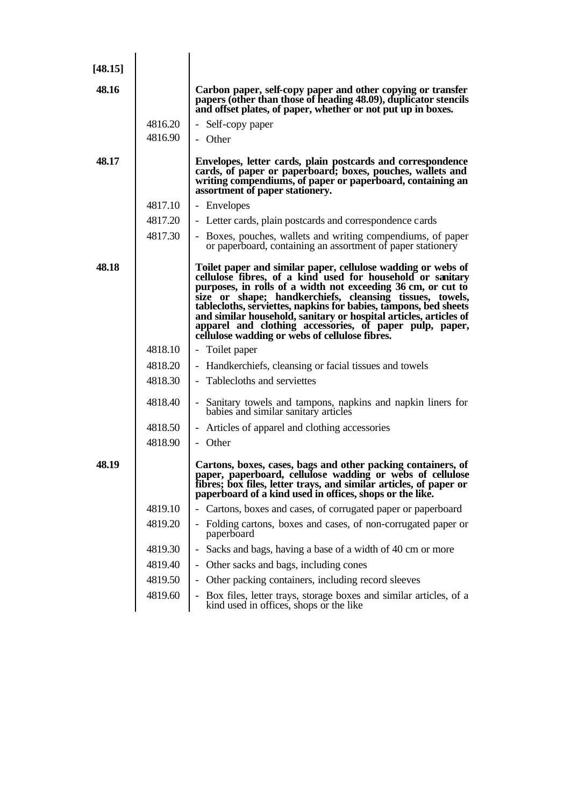| [48.15] |         |                                                                                                                                                                                                                                                                                                                                                                                                                                                                                                              |
|---------|---------|--------------------------------------------------------------------------------------------------------------------------------------------------------------------------------------------------------------------------------------------------------------------------------------------------------------------------------------------------------------------------------------------------------------------------------------------------------------------------------------------------------------|
| 48.16   |         | Carbon paper, self-copy paper and other copying or transfer<br>papers (other than those of heading 48.09), duplicator stencils<br>and offset plates, of paper, whether or not put up in boxes.                                                                                                                                                                                                                                                                                                               |
|         | 4816.20 | - Self-copy paper                                                                                                                                                                                                                                                                                                                                                                                                                                                                                            |
|         | 4816.90 | - Other                                                                                                                                                                                                                                                                                                                                                                                                                                                                                                      |
| 48.17   |         | Envelopes, letter cards, plain postcards and correspondence<br>cards, of paper or paperboard; boxes, pouches, wallets and<br>writing compendiums, of paper or paperboard, containing an<br>assortment of paper stationery.                                                                                                                                                                                                                                                                                   |
|         | 4817.10 | - Envelopes                                                                                                                                                                                                                                                                                                                                                                                                                                                                                                  |
|         | 4817.20 | - Letter cards, plain postcards and correspondence cards                                                                                                                                                                                                                                                                                                                                                                                                                                                     |
|         | 4817.30 | - Boxes, pouches, wallets and writing compendiums, of paper<br>or paperboard, containing an assortment of paper stationery                                                                                                                                                                                                                                                                                                                                                                                   |
| 48.18   |         | Toilet paper and similar paper, cellulose wadding or webs of<br>cellulose fibres, of a kind used for household or sanitary<br>purposes, in rolls of a width not exceeding 36 cm, or cut to<br>size or shape; handkerchiefs, cleansing tissues, towels,<br>tablecloths, serviettes, napkins for babies, tampons, bed sheets<br>and similar household, sanitary or hospital articles, articles of<br>apparel and clothing accessories, of paper pulp, paper,<br>cellulose wadding or webs of cellulose fibres. |
|         | 4818.10 | - Toilet paper                                                                                                                                                                                                                                                                                                                                                                                                                                                                                               |
|         | 4818.20 | Handkerchiefs, cleansing or facial tissues and towels                                                                                                                                                                                                                                                                                                                                                                                                                                                        |
|         | 4818.30 | - Tablecloths and serviettes                                                                                                                                                                                                                                                                                                                                                                                                                                                                                 |
|         | 4818.40 | - Sanitary towels and tampons, napkins and napkin liners for<br>babies and similar sanitary articles                                                                                                                                                                                                                                                                                                                                                                                                         |
|         | 4818.50 | - Articles of apparel and clothing accessories                                                                                                                                                                                                                                                                                                                                                                                                                                                               |
|         | 4818.90 | - Other                                                                                                                                                                                                                                                                                                                                                                                                                                                                                                      |
| 48.19   |         | Cartons, boxes, cases, bags and other packing containers, of<br>paper, paperboard, cellulose wadding or webs of cellulose<br>fibres; box files, letter trays, and similar articles, of paper or paperboard of a kind used in offices, shops or the like.                                                                                                                                                                                                                                                     |
|         | 4819.10 | Cartons, boxes and cases, of corrugated paper or paperboard                                                                                                                                                                                                                                                                                                                                                                                                                                                  |
|         | 4819.20 | - Folding cartons, boxes and cases, of non-corrugated paper or<br>paperboard                                                                                                                                                                                                                                                                                                                                                                                                                                 |
|         | 4819.30 | Sacks and bags, having a base of a width of 40 cm or more<br>$\overline{\phantom{0}}$                                                                                                                                                                                                                                                                                                                                                                                                                        |
|         | 4819.40 | Other sacks and bags, including cones<br>$\overline{\phantom{0}}$                                                                                                                                                                                                                                                                                                                                                                                                                                            |
|         | 4819.50 | Other packing containers, including record sleeves<br>$\overline{\phantom{0}}$                                                                                                                                                                                                                                                                                                                                                                                                                               |
|         | 4819.60 | Box files, letter trays, storage boxes and similar articles, of a<br>$\overline{\phantom{a}}$<br>kind used in offices, shops or the like                                                                                                                                                                                                                                                                                                                                                                     |